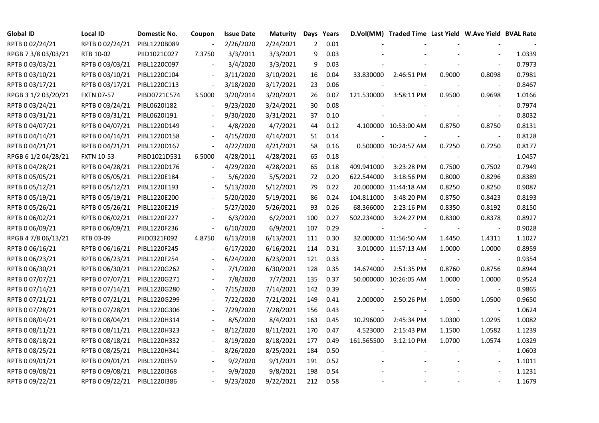| <b>Global ID</b>    | <b>Local ID</b>              | Domestic No. | Coupon                   | <b>Issue Date</b> | <b>Maturity</b> | Days           | Years |            | D.Vol(MM) Traded Time Last Yield W.Ave Yield BVAL Rate |        |                          |        |
|---------------------|------------------------------|--------------|--------------------------|-------------------|-----------------|----------------|-------|------------|--------------------------------------------------------|--------|--------------------------|--------|
| RPTB 0 02/24/21     | RPTB 0 02/24/21              | PIBL1220B089 |                          | 2/26/2020         | 2/24/2021       | $\overline{2}$ | 0.01  |            |                                                        |        |                          |        |
| RPGB 7 3/8 03/03/21 | RTB 10-02                    | PIID1021C027 | 7.3750                   | 3/3/2011          | 3/3/2021        | 9              | 0.03  |            |                                                        |        |                          | 1.0339 |
| RPTB 0 03/03/21     | RPTB 0 03/03/21              | PIBL1220C097 |                          | 3/4/2020          | 3/3/2021        | 9              | 0.03  |            |                                                        |        |                          | 0.7973 |
| RPTB 0 03/10/21     | RPTB 0 03/10/21              | PIBL1220C104 |                          | 3/11/2020         | 3/10/2021       | 16             | 0.04  | 33.830000  | 2:46:51 PM                                             | 0.9000 | 0.8098                   | 0.7981 |
| RPTB 0 03/17/21     | RPTB 0 03/17/21              | PIBL1220C113 | $\blacksquare$           | 3/18/2020         | 3/17/2021       | 23             | 0.06  |            |                                                        |        |                          | 0.8467 |
| RPGB 3 1/2 03/20/21 | <b>FXTN 07-57</b>            | PIBD0721C574 | 3.5000                   | 3/20/2014         | 3/20/2021       | 26             | 0.07  | 121.530000 | 3:58:11 PM                                             | 0.9500 | 0.9698                   | 1.0166 |
| RPTB 0 03/24/21     | RPTB 0 03/24/21              | PIBL0620I182 |                          | 9/23/2020         | 3/24/2021       | 30             | 0.08  |            |                                                        |        |                          | 0.7974 |
| RPTB 0 03/31/21     | RPTB 0 03/31/21              | PIBL0620I191 |                          | 9/30/2020         | 3/31/2021       | 37             | 0.10  |            |                                                        |        | $\blacksquare$           | 0.8032 |
| RPTB 0 04/07/21     | RPTB 0 04/07/21              | PIBL1220D149 |                          | 4/8/2020          | 4/7/2021        | 44             | 0.12  |            | 4.100000 10:53:00 AM                                   | 0.8750 | 0.8750                   | 0.8131 |
| RPTB 0 04/14/21     | RPTB 0 04/14/21              | PIBL1220D158 |                          | 4/15/2020         | 4/14/2021       | 51             | 0.14  |            |                                                        |        |                          | 0.8128 |
| RPTB 0 04/21/21     | RPTB 0 04/21/21              | PIBL1220D167 | $\overline{\phantom{a}}$ | 4/22/2020         | 4/21/2021       | 58             | 0.16  |            | 0.500000 10:24:57 AM                                   | 0.7250 | 0.7250                   | 0.8177 |
| RPGB 6 1/2 04/28/21 | <b>FXTN 10-53</b>            | PIBD1021D531 | 6.5000                   | 4/28/2011         | 4/28/2021       | 65             | 0.18  |            |                                                        |        | $\blacksquare$           | 1.0457 |
| RPTB 0 04/28/21     | RPTB 0 04/28/21              | PIBL1220D176 |                          | 4/29/2020         | 4/28/2021       | 65             | 0.18  | 409.941000 | 3:23:28 PM                                             | 0.7500 | 0.7502                   | 0.7949 |
| RPTB 0 05/05/21     | RPTB 0 05/05/21 PIBL1220E184 |              |                          | 5/6/2020          | 5/5/2021        | 72             | 0.20  | 622.544000 | 3:18:56 PM                                             | 0.8000 | 0.8296                   | 0.8389 |
| RPTB 0 05/12/21     | RPTB 0 05/12/21              | PIBL1220E193 |                          | 5/13/2020         | 5/12/2021       | 79             | 0.22  |            | 20.000000 11:44:18 AM                                  | 0.8250 | 0.8250                   | 0.9087 |
| RPTB 0 05/19/21     | RPTB 0 05/19/21              | PIBL1220E200 |                          | 5/20/2020         | 5/19/2021       | 86             | 0.24  | 104.811000 | 3:48:20 PM                                             | 0.8750 | 0.8423                   | 0.8193 |
| RPTB 0 05/26/21     | RPTB 0 05/26/21              | PIBL1220E219 |                          | 5/27/2020         | 5/26/2021       | 93             | 0.26  | 68.366000  | 2:23:16 PM                                             | 0.8350 | 0.8192                   | 0.8150 |
| RPTB 0 06/02/21     | RPTB 0 06/02/21              | PIBL1220F227 |                          | 6/3/2020          | 6/2/2021        | 100            | 0.27  | 502.234000 | 3:24:27 PM                                             | 0.8300 | 0.8378                   | 0.8927 |
| RPTB 0 06/09/21     | RPTB 0 06/09/21              | PIBL1220F236 | $\blacksquare$           | 6/10/2020         | 6/9/2021        | 107            | 0.29  |            |                                                        |        | $\blacksquare$           | 0.9028 |
| RPGB 4 7/8 06/13/21 | RTB 03-09                    | PIID0321F092 | 4.8750                   | 6/13/2018         | 6/13/2021       | 111            | 0.30  |            | 32.000000 11:56:50 AM                                  | 1.4450 | 1.4311                   | 1.1027 |
| RPTB 0 06/16/21     | RPTB 0 06/16/21              | PIBL1220F245 |                          | 6/17/2020         | 6/16/2021       | 114            | 0.31  |            | 3.010000 11:57:13 AM                                   | 1.0000 | 1.0000                   | 0.8959 |
| RPTB 0 06/23/21     | RPTB 0 06/23/21              | PIBL1220F254 |                          | 6/24/2020         | 6/23/2021       | 121            | 0.33  |            |                                                        |        | $\overline{\phantom{a}}$ | 0.9354 |
| RPTB 0 06/30/21     | RPTB 0 06/30/21              | PIBL1220G262 |                          | 7/1/2020          | 6/30/2021       | 128            | 0.35  | 14.674000  | 2:51:35 PM                                             | 0.8760 | 0.8756                   | 0.8944 |
| RPTB 0 07/07/21     | RPTB 0 07/07/21              | PIBL1220G271 |                          | 7/8/2020          | 7/7/2021        | 135            | 0.37  |            | 50.000000 10:26:05 AM                                  | 1.0000 | 1.0000                   | 0.9524 |
| RPTB 0 07/14/21     | RPTB 0 07/14/21              | PIBL1220G280 | $\overline{\phantom{a}}$ | 7/15/2020         | 7/14/2021       | 142            | 0.39  |            |                                                        |        |                          | 0.9865 |
| RPTB 0 07/21/21     | RPTB 0 07/21/21              | PIBL1220G299 |                          | 7/22/2020         | 7/21/2021       | 149            | 0.41  | 2.000000   | 2:50:26 PM                                             | 1.0500 | 1.0500                   | 0.9650 |
| RPTB 0 07/28/21     | RPTB 0 07/28/21              | PIBL1220G306 |                          | 7/29/2020         | 7/28/2021       | 156            | 0.43  |            |                                                        |        |                          | 1.0624 |
| RPTB 0 08/04/21     | RPTB 0 08/04/21              | PIBL1220H314 |                          | 8/5/2020          | 8/4/2021        | 163            | 0.45  | 10.296000  | 2:45:34 PM                                             | 1.0300 | 1.0295                   | 1.0082 |
| RPTB 0 08/11/21     | RPTB 0 08/11/21              | PIBL1220H323 |                          | 8/12/2020         | 8/11/2021       | 170            | 0.47  | 4.523000   | 2:15:43 PM                                             | 1.1500 | 1.0582                   | 1.1239 |
| RPTB 0 08/18/21     | RPTB 0 08/18/21              | PIBL1220H332 |                          | 8/19/2020         | 8/18/2021       | 177            | 0.49  | 161.565500 | 3:12:10 PM                                             | 1.0700 | 1.0574                   | 1.0329 |
| RPTB 0 08/25/21     | RPTB 0 08/25/21              | PIBL1220H341 |                          | 8/26/2020         | 8/25/2021       | 184            | 0.50  |            |                                                        |        |                          | 1.0603 |
| RPTB 0 09/01/21     | RPTB 0 09/01/21              | PIBL1220I359 |                          | 9/2/2020          | 9/1/2021        | 191            | 0.52  |            |                                                        |        | $\overline{\phantom{a}}$ | 1.1011 |
| RPTB 0 09/08/21     | RPTB 0 09/08/21              | PIBL1220I368 |                          | 9/9/2020          | 9/8/2021        | 198            | 0.54  |            |                                                        |        |                          | 1.1231 |
| RPTB 0 09/22/21     | RPTB 0 09/22/21 PIBL1220I386 |              |                          | 9/23/2020         | 9/22/2021       | 212            | 0.58  |            |                                                        |        |                          | 1.1679 |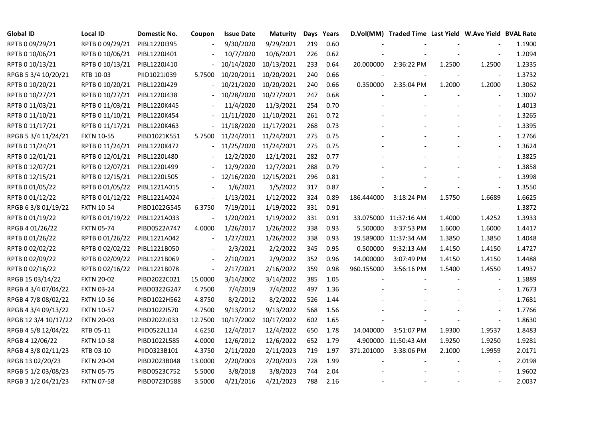| <b>Global ID</b>     | <b>Local ID</b>   | Domestic No. | Coupon                   | <b>Issue Date</b> | <b>Maturity</b> |     | Days Years |            | D.Vol(MM) Traded Time Last Yield W.Ave Yield BVAL Rate |        |                          |        |
|----------------------|-------------------|--------------|--------------------------|-------------------|-----------------|-----|------------|------------|--------------------------------------------------------|--------|--------------------------|--------|
| RPTB 0 09/29/21      | RPTB 0 09/29/21   | PIBL1220I395 |                          | 9/30/2020         | 9/29/2021       | 219 | 0.60       |            |                                                        |        |                          | 1.1900 |
| RPTB 0 10/06/21      | RPTB 0 10/06/21   | PIBL1220J401 |                          | 10/7/2020         | 10/6/2021       | 226 | 0.62       |            |                                                        |        |                          | 1.2094 |
| RPTB 0 10/13/21      | RPTB 0 10/13/21   | PIBL1220J410 |                          | 10/14/2020        | 10/13/2021      | 233 | 0.64       | 20.000000  | 2:36:22 PM                                             | 1.2500 | 1.2500                   | 1.2335 |
| RPGB 5 3/4 10/20/21  | RTB 10-03         | PIID1021J039 | 5.7500                   | 10/20/2011        | 10/20/2021      | 240 | 0.66       |            |                                                        |        | $\overline{\phantom{a}}$ | 1.3732 |
| RPTB 0 10/20/21      | RPTB 0 10/20/21   | PIBL1220J429 | $\overline{\phantom{0}}$ | 10/21/2020        | 10/20/2021      | 240 | 0.66       | 0.350000   | 2:35:04 PM                                             | 1.2000 | 1.2000                   | 1.3062 |
| RPTB 0 10/27/21      | RPTB 0 10/27/21   | PIBL1220J438 |                          | 10/28/2020        | 10/27/2021      | 247 | 0.68       |            |                                                        |        | $\overline{\phantom{a}}$ | 1.3007 |
| RPTB 0 11/03/21      | RPTB 0 11/03/21   | PIBL1220K445 |                          | 11/4/2020         | 11/3/2021       | 254 | 0.70       |            |                                                        |        | $\blacksquare$           | 1.4013 |
| RPTB 0 11/10/21      | RPTB 0 11/10/21   | PIBL1220K454 |                          | 11/11/2020        | 11/10/2021      | 261 | 0.72       |            |                                                        |        | $\overline{\phantom{a}}$ | 1.3265 |
| RPTB 0 11/17/21      | RPTB 0 11/17/21   | PIBL1220K463 |                          | 11/18/2020        | 11/17/2021      | 268 | 0.73       |            |                                                        |        |                          | 1.3395 |
| RPGB 5 3/4 11/24/21  | <b>FXTN 10-55</b> | PIBD1021K551 | 5.7500                   | 11/24/2011        | 11/24/2021      | 275 | 0.75       |            |                                                        |        | $\overline{\phantom{a}}$ | 1.2766 |
| RPTB 0 11/24/21      | RPTB 0 11/24/21   | PIBL1220K472 | $\overline{\phantom{0}}$ | 11/25/2020        | 11/24/2021      | 275 | 0.75       |            |                                                        |        | $\blacksquare$           | 1.3624 |
| RPTB 0 12/01/21      | RPTB 0 12/01/21   | PIBL1220L480 |                          | 12/2/2020         | 12/1/2021       | 282 | 0.77       |            |                                                        |        |                          | 1.3825 |
| RPTB 0 12/07/21      | RPTB 0 12/07/21   | PIBL1220L499 |                          | 12/9/2020         | 12/7/2021       | 288 | 0.79       |            |                                                        |        | $\blacksquare$           | 1.3858 |
| RPTB 0 12/15/21      | RPTB 0 12/15/21   | PIBL1220L505 |                          | 12/16/2020        | 12/15/2021      | 296 | 0.81       |            |                                                        |        | $\overline{\phantom{a}}$ | 1.3998 |
| RPTB 0 01/05/22      | RPTB 0 01/05/22   | PIBL1221A015 |                          | 1/6/2021          | 1/5/2022        | 317 | 0.87       |            |                                                        |        | $\bar{\phantom{a}}$      | 1.3550 |
| RPTB 0 01/12/22      | RPTB 0 01/12/22   | PIBL1221A024 |                          | 1/13/2021         | 1/12/2022       | 324 | 0.89       | 186.444000 | 3:18:24 PM                                             | 1.5750 | 1.6689                   | 1.6625 |
| RPGB 63/8 01/19/22   | <b>FXTN 10-54</b> | PIBD1022G545 | 6.3750                   | 7/19/2011         | 1/19/2022       | 331 | 0.91       |            |                                                        |        |                          | 1.3872 |
| RPTB 0 01/19/22      | RPTB 0 01/19/22   | PIBL1221A033 |                          | 1/20/2021         | 1/19/2022       | 331 | 0.91       |            | 33.075000 11:37:16 AM                                  | 1.4000 | 1.4252                   | 1.3933 |
| RPGB 4 01/26/22      | <b>FXTN 05-74</b> | PIBD0522A747 | 4.0000                   | 1/26/2017         | 1/26/2022       | 338 | 0.93       | 5.500000   | 3:37:53 PM                                             | 1.6000 | 1.6000                   | 1.4417 |
| RPTB 0 01/26/22      | RPTB 0 01/26/22   | PIBL1221A042 |                          | 1/27/2021         | 1/26/2022       | 338 | 0.93       |            | 19.589000 11:37:34 AM                                  | 1.3850 | 1.3850                   | 1.4048 |
| RPTB 0 02/02/22      | RPTB 0 02/02/22   | PIBL1221B050 |                          | 2/3/2021          | 2/2/2022        | 345 | 0.95       | 0.500000   | 9:32:13 AM                                             | 1.4150 | 1.4150                   | 1.4727 |
| RPTB 0 02/09/22      | RPTB 0 02/09/22   | PIBL1221B069 |                          | 2/10/2021         | 2/9/2022        | 352 | 0.96       | 14.000000  | 3:07:49 PM                                             | 1.4150 | 1.4150                   | 1.4488 |
| RPTB 0 02/16/22      | RPTB 0 02/16/22   | PIBL1221B078 | $\frac{1}{2}$            | 2/17/2021         | 2/16/2022       | 359 | 0.98       | 960.155000 | 3:56:16 PM                                             | 1.5400 | 1.4550                   | 1.4937 |
| RPGB 15 03/14/22     | <b>FXTN 20-02</b> | PIBD2022C021 | 15.0000                  | 3/14/2002         | 3/14/2022       | 385 | 1.05       |            |                                                        |        |                          | 1.5889 |
| RPGB 4 3/4 07/04/22  | <b>FXTN 03-24</b> | PIBD0322G247 | 4.7500                   | 7/4/2019          | 7/4/2022        | 497 | 1.36       |            |                                                        |        | $\blacksquare$           | 1.7673 |
| RPGB 4 7/8 08/02/22  | <b>FXTN 10-56</b> | PIBD1022H562 | 4.8750                   | 8/2/2012          | 8/2/2022        | 526 | 1.44       |            |                                                        |        |                          | 1.7681 |
| RPGB 4 3/4 09/13/22  | <b>FXTN 10-57</b> | PIBD1022I570 | 4.7500                   | 9/13/2012         | 9/13/2022       | 568 | 1.56       |            |                                                        |        | $\blacksquare$           | 1.7766 |
| RPGB 12 3/4 10/17/22 | <b>FXTN 20-03</b> | PIBD2022J033 | 12.7500                  | 10/17/2002        | 10/17/2022      | 602 | 1.65       |            |                                                        |        | $\blacksquare$           | 1.8630 |
| RPGB 4 5/8 12/04/22  | RTB 05-11         | PIID0522L114 | 4.6250                   | 12/4/2017         | 12/4/2022       | 650 | 1.78       | 14.040000  | 3:51:07 PM                                             | 1.9300 | 1.9537                   | 1.8483 |
| RPGB 4 12/06/22      | <b>FXTN 10-58</b> | PIBD1022L585 | 4.0000                   | 12/6/2012         | 12/6/2022       | 652 | 1.79       |            | 4.900000 11:50:43 AM                                   | 1.9250 | 1.9250                   | 1.9281 |
| RPGB 4 3/8 02/11/23  | RTB 03-10         | PIID0323B101 | 4.3750                   | 2/11/2020         | 2/11/2023       | 719 | 1.97       | 371.201000 | 3:38:06 PM                                             | 2.1000 | 1.9959                   | 2.0171 |
| RPGB 13 02/20/23     | <b>FXTN 20-04</b> | PIBD2023B048 | 13.0000                  | 2/20/2003         | 2/20/2023       | 728 | 1.99       |            |                                                        |        | $\overline{\phantom{a}}$ | 2.0198 |
| RPGB 5 1/2 03/08/23  | <b>FXTN 05-75</b> | PIBD0523C752 | 5.5000                   | 3/8/2018          | 3/8/2023        | 744 | 2.04       |            |                                                        |        |                          | 1.9602 |
| RPGB 3 1/2 04/21/23  | <b>FXTN 07-58</b> | PIBD0723D588 | 3.5000                   | 4/21/2016         | 4/21/2023       | 788 | 2.16       |            |                                                        |        |                          | 2.0037 |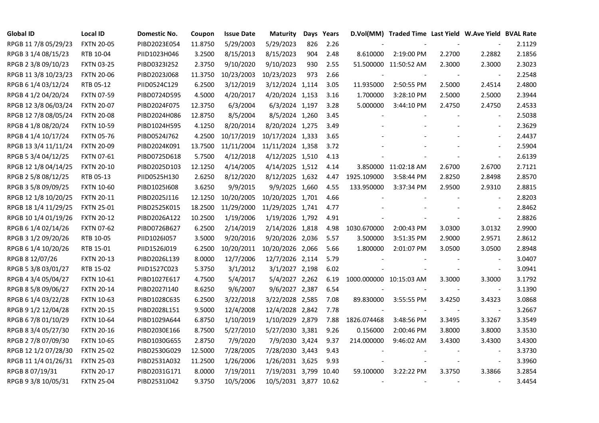| <b>Global ID</b>     | <b>Local ID</b>   | Domestic No. | Coupon  | <b>Issue Date</b> | <b>Maturity</b>       |     | Days Years |                         | D.Vol(MM) Traded Time Last Yield W.Ave Yield BVAL Rate |        |                          |        |
|----------------------|-------------------|--------------|---------|-------------------|-----------------------|-----|------------|-------------------------|--------------------------------------------------------|--------|--------------------------|--------|
| RPGB 11 7/8 05/29/23 | <b>FXTN 20-05</b> | PIBD2023E054 | 11.8750 | 5/29/2003         | 5/29/2023             | 826 | 2.26       |                         |                                                        |        |                          | 2.1129 |
| RPGB 3 1/4 08/15/23  | RTB 10-04         | PIID1023H046 | 3.2500  | 8/15/2013         | 8/15/2023             | 904 | 2.48       | 8.610000                | 2:19:00 PM                                             | 2.2700 | 2.2882                   | 2.1856 |
| RPGB 2 3/8 09/10/23  | <b>FXTN 03-25</b> | PIBD0323I252 | 2.3750  | 9/10/2020         | 9/10/2023             | 930 | 2.55       |                         | 51.500000 11:50:52 AM                                  | 2.3000 | 2.3000                   | 2.3023 |
| RPGB 11 3/8 10/23/23 | <b>FXTN 20-06</b> | PIBD2023J068 | 11.3750 | 10/23/2003        | 10/23/2023            | 973 | 2.66       |                         |                                                        |        | $\overline{\phantom{a}}$ | 2.2548 |
| RPGB 6 1/4 03/12/24  | RTB 05-12         | PIID0524C129 | 6.2500  | 3/12/2019         | 3/12/2024 1,114       |     | 3.05       | 11.935000               | 2:50:55 PM                                             | 2.5000 | 2.4514                   | 2.4800 |
| RPGB 4 1/2 04/20/24  | <b>FXTN 07-59</b> | PIBD0724D595 | 4.5000  | 4/20/2017         | 4/20/2024 1,153       |     | 3.16       | 1.700000                | 3:28:10 PM                                             | 2.5000 | 2.5000                   | 2.3944 |
| RPGB 12 3/8 06/03/24 | <b>FXTN 20-07</b> | PIBD2024F075 | 12.3750 | 6/3/2004          | 6/3/2024 1,197        |     | 3.28       | 5.000000                | 3:44:10 PM                                             | 2.4750 | 2.4750                   | 2.4533 |
| RPGB 12 7/8 08/05/24 | <b>FXTN 20-08</b> | PIBD2024H086 | 12.8750 | 8/5/2004          | 8/5/2024 1,260        |     | 3.45       |                         |                                                        |        | $\overline{\phantom{a}}$ | 2.5038 |
| RPGB 4 1/8 08/20/24  | <b>FXTN 10-59</b> | PIBD1024H595 | 4.1250  | 8/20/2014         | 8/20/2024 1,275       |     | 3.49       |                         |                                                        |        |                          | 2.3629 |
| RPGB 4 1/4 10/17/24  | <b>FXTN 05-76</b> | PIBD0524J762 | 4.2500  | 10/17/2019        | 10/17/2024 1,333      |     | 3.65       |                         |                                                        |        | $\overline{a}$           | 2.4437 |
| RPGB 13 3/4 11/11/24 | <b>FXTN 20-09</b> | PIBD2024K091 | 13.7500 | 11/11/2004        | 11/11/2024 1,358      |     | 3.72       |                         |                                                        |        | $\blacksquare$           | 2.5904 |
| RPGB 5 3/4 04/12/25  | <b>FXTN 07-61</b> | PIBD0725D618 | 5.7500  | 4/12/2018         | 4/12/2025 1,510       |     | 4.13       |                         |                                                        |        | $\blacksquare$           | 2.6139 |
| RPGB 12 1/8 04/14/25 | <b>FXTN 20-10</b> | PIBD2025D103 | 12.1250 | 4/14/2005         | 4/14/2025 1,512       |     | 4.14       |                         | 3.850000 11:02:18 AM                                   | 2.6700 | 2.6700                   | 2.7121 |
| RPGB 2 5/8 08/12/25  | RTB 05-13         | PIID0525H130 | 2.6250  | 8/12/2020         | 8/12/2025 1,632       |     | 4.47       | 1925.109000             | 3:58:44 PM                                             | 2.8250 | 2.8498                   | 2.8570 |
| RPGB 3 5/8 09/09/25  | <b>FXTN 10-60</b> | PIBD10251608 | 3.6250  | 9/9/2015          | 9/9/2025 1,660        |     | 4.55       | 133.950000              | 3:37:34 PM                                             | 2.9500 | 2.9310                   | 2.8815 |
| RPGB 12 1/8 10/20/25 | <b>FXTN 20-11</b> | PIBD2025J116 | 12.1250 | 10/20/2005        | 10/20/2025 1,701      |     | 4.66       |                         |                                                        |        |                          | 2.8203 |
| RPGB 18 1/4 11/29/25 | <b>FXTN 25-01</b> | PIBD2525K015 | 18.2500 | 11/29/2000        | 11/29/2025 1,741      |     | 4.77       |                         |                                                        |        | $\overline{\phantom{a}}$ | 2.8462 |
| RPGB 10 1/4 01/19/26 | <b>FXTN 20-12</b> | PIBD2026A122 | 10.2500 | 1/19/2006         | 1/19/2026 1,792       |     | 4.91       |                         |                                                        |        | $\overline{\phantom{a}}$ | 2.8826 |
| RPGB 6 1/4 02/14/26  | <b>FXTN 07-62</b> | PIBD0726B627 | 6.2500  | 2/14/2019         | 2/14/2026 1,818       |     | 4.98       | 1030.670000             | 2:00:43 PM                                             | 3.0300 | 3.0132                   | 2.9900 |
| RPGB 3 1/2 09/20/26  | RTB 10-05         | PIID1026I057 | 3.5000  | 9/20/2016         | 9/20/2026 2,036       |     | 5.57       | 3.500000                | 3:51:35 PM                                             | 2.9000 | 2.9571                   | 2.8612 |
| RPGB 6 1/4 10/20/26  | RTB 15-01         | PIID1526J019 | 6.2500  | 10/20/2011        | 10/20/2026 2,066      |     | 5.66       | 1.800000                | 2:01:07 PM                                             | 3.0500 | 3.0500                   | 2.8948 |
| RPGB 8 12/07/26      | <b>FXTN 20-13</b> | PIBD2026L139 | 8.0000  | 12/7/2006         | 12/7/2026 2,114       |     | 5.79       |                         |                                                        |        | $\overline{\phantom{a}}$ | 3.0407 |
| RPGB 5 3/8 03/01/27  | RTB 15-02         | PIID1527C023 | 5.3750  | 3/1/2012          | 3/1/2027 2,198        |     | 6.02       |                         |                                                        |        | $\blacksquare$           | 3.0941 |
| RPGB 4 3/4 05/04/27  | <b>FXTN 10-61</b> | PIBD1027E617 | 4.7500  | 5/4/2017          | 5/4/2027 2,262        |     | 6.19       | 1000.000000 10:15:03 AM |                                                        | 3.3000 | 3.3000                   | 3.1792 |
| RPGB 8 5/8 09/06/27  | <b>FXTN 20-14</b> | PIBD2027I140 | 8.6250  | 9/6/2007          | 9/6/2027 2,387        |     | 6.54       |                         |                                                        | $\sim$ | $\blacksquare$           | 3.1390 |
| RPGB 6 1/4 03/22/28  | <b>FXTN 10-63</b> | PIBD1028C635 | 6.2500  | 3/22/2018         | 3/22/2028 2,585       |     | 7.08       | 89.830000               | 3:55:55 PM                                             | 3.4250 | 3.4323                   | 3.0868 |
| RPGB 9 1/2 12/04/28  | <b>FXTN 20-15</b> | PIBD2028L151 | 9.5000  | 12/4/2008         | 12/4/2028 2,842       |     | 7.78       |                         |                                                        |        | $\blacksquare$           | 3.2667 |
| RPGB 6 7/8 01/10/29  | <b>FXTN 10-64</b> | PIBD1029A644 | 6.8750  | 1/10/2019         | 1/10/2029 2,879       |     | 7.88       | 1826.074468             | 3:48:56 PM                                             | 3.3495 | 3.3267                   | 3.3549 |
| RPGB 8 3/4 05/27/30  | <b>FXTN 20-16</b> | PIBD2030E166 | 8.7500  | 5/27/2010         | 5/27/2030 3,381       |     | 9.26       | 0.156000                | 2:00:46 PM                                             | 3.8000 | 3.8000                   | 3.3530 |
| RPGB 2 7/8 07/09/30  | <b>FXTN 10-65</b> | PIBD1030G655 | 2.8750  | 7/9/2020          | 7/9/2030 3,424        |     | 9.37       | 214.000000              | 9:46:02 AM                                             | 3.4300 | 3.4300                   | 3.4300 |
| RPGB 12 1/2 07/28/30 | <b>FXTN 25-02</b> | PIBD2530G029 | 12.5000 | 7/28/2005         | 7/28/2030 3,443       |     | 9.43       |                         |                                                        |        | $\overline{\phantom{a}}$ | 3.3730 |
| RPGB 11 1/4 01/26/31 | <b>FXTN 25-03</b> | PIBD2531A032 | 11.2500 | 1/26/2006         | 1/26/2031 3,625       |     | 9.93       |                         |                                                        |        | $\overline{\phantom{a}}$ | 3.3960 |
| RPGB 8 07/19/31      | <b>FXTN 20-17</b> | PIBD2031G171 | 8.0000  | 7/19/2011         | 7/19/2031 3,799       |     | 10.40      | 59.100000               | 3:22:22 PM                                             | 3.3750 | 3.3866                   | 3.2854 |
| RPGB 9 3/8 10/05/31  | <b>FXTN 25-04</b> | PIBD2531J042 | 9.3750  | 10/5/2006         | 10/5/2031 3,877 10.62 |     |            |                         |                                                        |        |                          | 3.4454 |